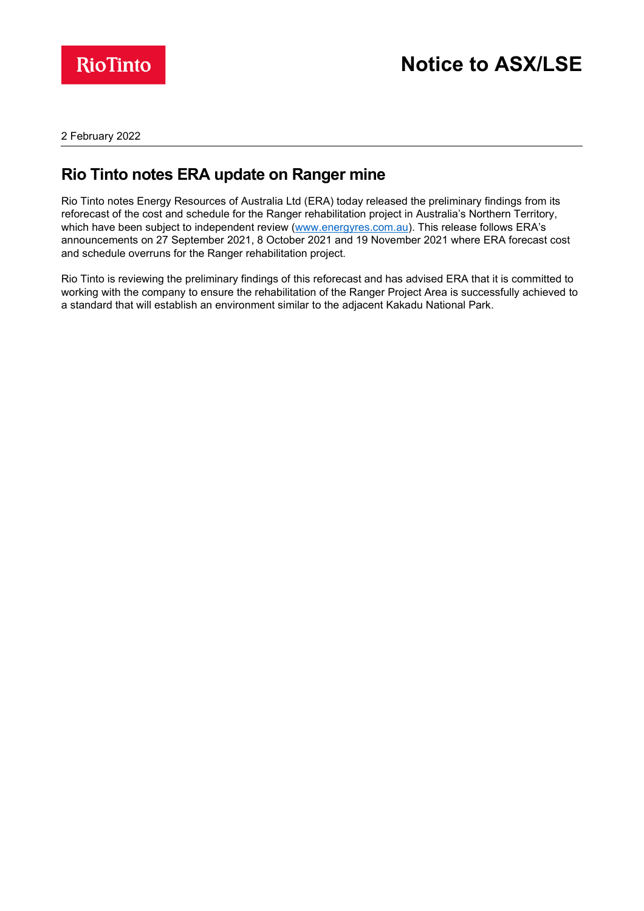

2 February 2022

# **Rio Tinto notes ERA update on Ranger mine**

Rio Tinto notes Energy Resources of Australia Ltd (ERA) today released the preliminary findings from its reforecast of the cost and schedule for the Ranger rehabilitation project in Australia's Northern Territory, which have been subject to independent review [\(www.energyres.com.au\)](http://www.energyres.com.au/). This release follows ERA's announcements on 27 September 2021, 8 October 2021 and 19 November 2021 where ERA forecast cost and schedule overruns for the Ranger rehabilitation project.

Rio Tinto is reviewing the preliminary findings of this reforecast and has advised ERA that it is committed to working with the company to ensure the rehabilitation of the Ranger Project Area is successfully achieved to a standard that will establish an environment similar to the adjacent Kakadu National Park.